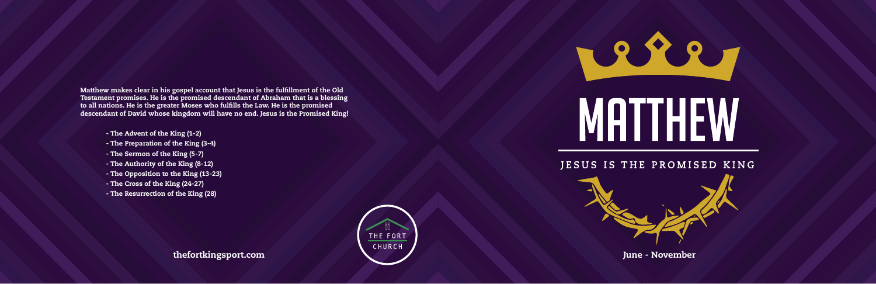Matthew makes clear in his gospel account that Jesus is the fulfillment of the Old Testament promises. He is the promised descendant of Abraham that is a blessing to all nations. He is the greater Moses who fulfills the Law. He is the promised descendant of David whose kingdom will have no end. Jesus is the Promised King!

- The Advent of the King (1-2)
- The Preparation of the King (3-4)
- The Sermon of the King (5-7)
- The Authority of the King (8-12)
- The Opposition to the King (13-23)
- The Cross of the King (24-27)
- The Resurrection of the King (28)







thefortkingsport.com June - November



## MATTHEW

## JESUS IS THE PROMISED KING